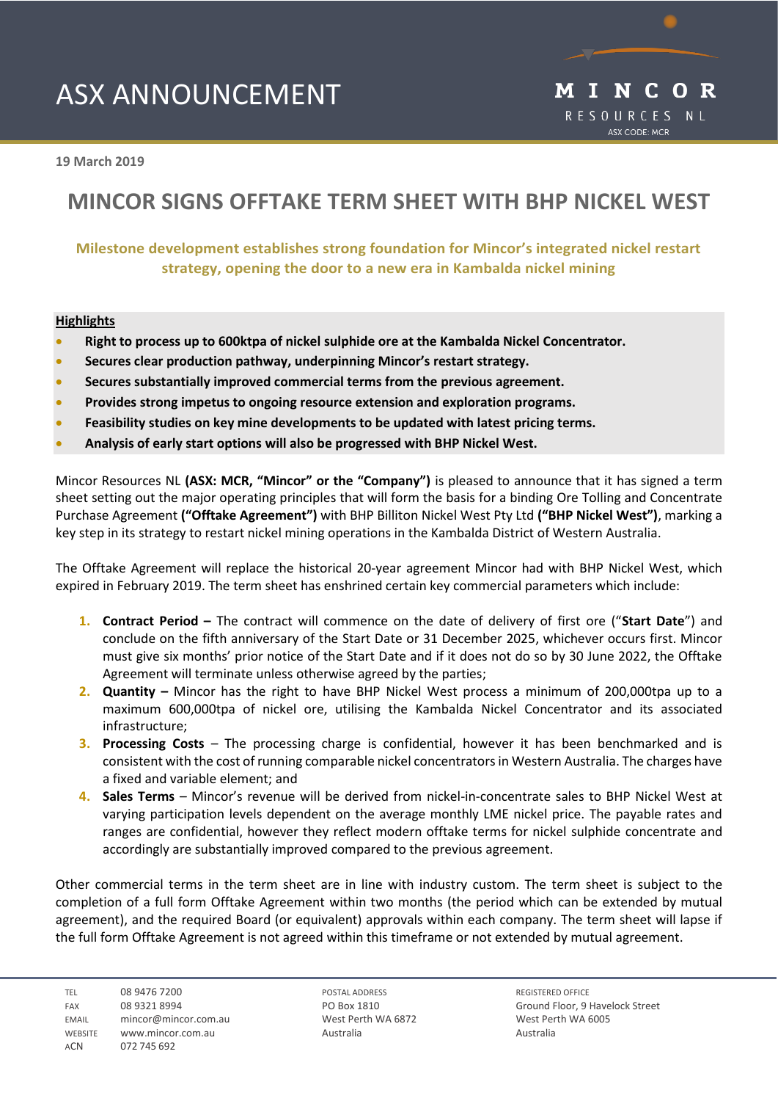# ASX ANNOUNCEMENT



**19 March 2019**

# **MINCOR SIGNS OFFTAKE TERM SHEET WITH BHP NICKEL WEST**

**Milestone development establishes strong foundation for Mincor's integrated nickel restart strategy, opening the door to a new era in Kambalda nickel mining**

#### **Highlights**

- **Right to process up to 600ktpa of nickel sulphide ore at the Kambalda Nickel Concentrator.**
- **Secures clear production pathway, underpinning Mincor's restart strategy.**
- **Secures substantially improved commercial terms from the previous agreement.**
- **Provides strong impetus to ongoing resource extension and exploration programs.**
- **Feasibility studies on key mine developments to be updated with latest pricing terms.**
- **Analysis of early start options will also be progressed with BHP Nickel West.**

Mincor Resources NL **(ASX: MCR, "Mincor" or the "Company")** is pleased to announce that it has signed a term sheet setting out the major operating principles that will form the basis for a binding Ore Tolling and Concentrate Purchase Agreement **("Offtake Agreement")** with BHP Billiton Nickel West Pty Ltd **("BHP Nickel West")**, marking a key step in its strategy to restart nickel mining operations in the Kambalda District of Western Australia.

The Offtake Agreement will replace the historical 20-year agreement Mincor had with BHP Nickel West, which expired in February 2019. The term sheet has enshrined certain key commercial parameters which include:

- **1. Contract Period –** The contract will commence on the date of delivery of first ore ("**Start Date**") and conclude on the fifth anniversary of the Start Date or 31 December 2025, whichever occurs first. Mincor must give six months' prior notice of the Start Date and if it does not do so by 30 June 2022, the Offtake Agreement will terminate unless otherwise agreed by the parties;
- **2. Quantity –** Mincor has the right to have BHP Nickel West process a minimum of 200,000tpa up to a maximum 600,000tpa of nickel ore, utilising the Kambalda Nickel Concentrator and its associated infrastructure;
- **3. Processing Costs** The processing charge is confidential, however it has been benchmarked and is consistent with the cost of running comparable nickel concentrators in Western Australia. The charges have a fixed and variable element; and
- **4. Sales Terms** Mincor's revenue will be derived from nickel-in-concentrate sales to BHP Nickel West at varying participation levels dependent on the average monthly LME nickel price. The payable rates and ranges are confidential, however they reflect modern offtake terms for nickel sulphide concentrate and accordingly are substantially improved compared to the previous agreement.

Other commercial terms in the term sheet are in line with industry custom. The term sheet is subject to the completion of a full form Offtake Agreement within two months (the period which can be extended by mutual agreement), and the required Board (or equivalent) approvals within each company. The term sheet will lapse if the full form Offtake Agreement is not agreed within this timeframe or not extended by mutual agreement.

POSTAL ADDRESS PO Box 1810 West Perth WA 6872 Australia